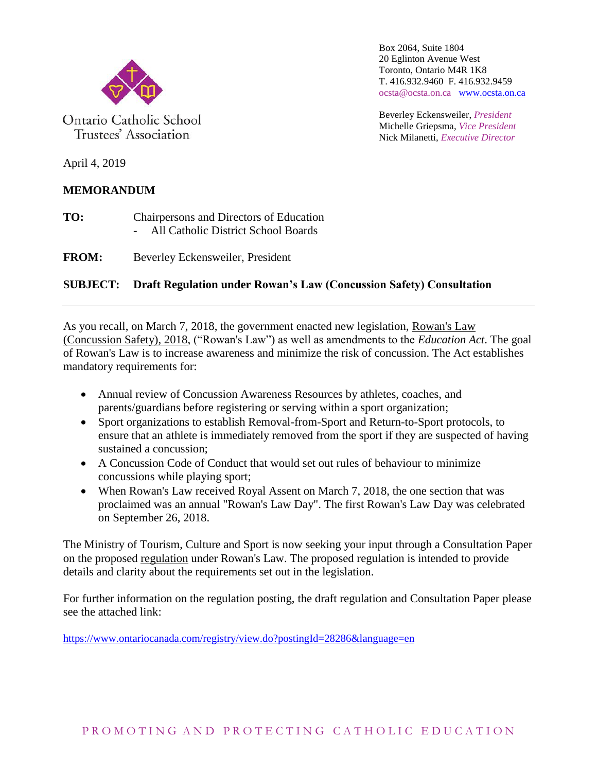

Ontario Catholic School Trustees' Association

Box 2064, Suite 1804 20 Eglinton Avenue West Toronto, Ontario M4R 1K8 T. 416.932.9460 F. 416.932.9459 ocsta@ocsta.on.ca [www.ocsta.on.ca](http://www.ocsta.on.ca/)

Beverley Eckensweiler, *President* Michelle Griepsma, *Vice President* Nick Milanetti, *Executive Director*

April 4, 2019

## **MEMORANDUM**

**TO:** Chairpersons and Directors of Education - All Catholic District School Boards

**FROM:** Beverley Eckensweiler, President

## **SUBJECT: Draft Regulation under Rowan's Law (Concussion Safety) Consultation**

As you recall, on March 7, 2018, the government enacted new legislation, Rowan's Law (Concussion Safety), 2018, ("Rowan's Law") as well as amendments to the *Education Act*. The goal of Rowan's Law is to increase awareness and minimize the risk of concussion. The Act establishes mandatory requirements for:

- Annual review of Concussion Awareness Resources by athletes, coaches, and parents/guardians before registering or serving within a sport organization;
- Sport organizations to establish Removal-from-Sport and Return-to-Sport protocols, to ensure that an athlete is immediately removed from the sport if they are suspected of having sustained a concussion;
- A Concussion Code of Conduct that would set out rules of behaviour to minimize concussions while playing sport;
- When Rowan's Law received Royal Assent on March 7, 2018, the one section that was proclaimed was an annual "Rowan's Law Day". The first Rowan's Law Day was celebrated on September 26, 2018.

The Ministry of Tourism, Culture and Sport is now seeking your input through a Consultation Paper on the proposed regulation under Rowan's Law. The proposed regulation is intended to provide details and clarity about the requirements set out in the legislation.

For further information on the regulation posting, the draft regulation and Consultation Paper please see the attached link:

<https://www.ontariocanada.com/registry/view.do?postingId=28286&language=en>